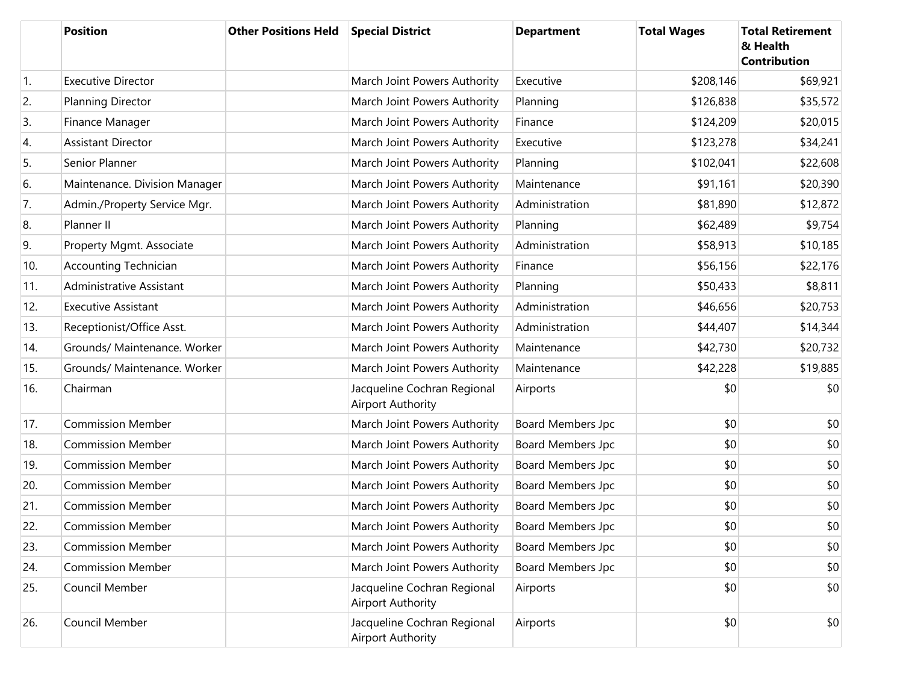|     | <b>Position</b>               | <b>Other Positions Held</b> | <b>Special District</b>                                 | <b>Department</b>        | <b>Total Wages</b> | <b>Total Retirement</b><br>& Health<br><b>Contribution</b> |
|-----|-------------------------------|-----------------------------|---------------------------------------------------------|--------------------------|--------------------|------------------------------------------------------------|
| 1.  | <b>Executive Director</b>     |                             | March Joint Powers Authority                            | Executive                | \$208,146          | \$69,921                                                   |
| 2.  | <b>Planning Director</b>      |                             | March Joint Powers Authority                            | Planning                 | \$126,838          | \$35,572                                                   |
| 3.  | Finance Manager               |                             | March Joint Powers Authority                            | Finance                  | \$124,209          | \$20,015                                                   |
| 4.  | <b>Assistant Director</b>     |                             | March Joint Powers Authority                            | Executive                | \$123,278          | \$34,241                                                   |
| 5.  | Senior Planner                |                             | March Joint Powers Authority                            | Planning                 | \$102,041          | \$22,608                                                   |
| 6.  | Maintenance. Division Manager |                             | March Joint Powers Authority                            | Maintenance              | \$91,161           | \$20,390                                                   |
| 7.  | Admin./Property Service Mgr.  |                             | March Joint Powers Authority                            | Administration           | \$81,890           | \$12,872                                                   |
| 8.  | Planner II                    |                             | March Joint Powers Authority                            | Planning                 | \$62,489           | \$9,754                                                    |
| 9.  | Property Mgmt. Associate      |                             | March Joint Powers Authority                            | Administration           | \$58,913           | \$10,185                                                   |
| 10. | <b>Accounting Technician</b>  |                             | March Joint Powers Authority                            | Finance                  | \$56,156           | \$22,176                                                   |
| 11. | Administrative Assistant      |                             | March Joint Powers Authority                            | Planning                 | \$50,433           | \$8,811                                                    |
| 12. | <b>Executive Assistant</b>    |                             | March Joint Powers Authority                            | Administration           | \$46,656           | \$20,753                                                   |
| 13. | Receptionist/Office Asst.     |                             | March Joint Powers Authority                            | Administration           | \$44,407           | \$14,344                                                   |
| 14. | Grounds/ Maintenance. Worker  |                             | March Joint Powers Authority                            | Maintenance              | \$42,730           | \$20,732                                                   |
| 15. | Grounds/ Maintenance. Worker  |                             | March Joint Powers Authority                            | Maintenance              | \$42,228           | \$19,885                                                   |
| 16. | Chairman                      |                             | Jacqueline Cochran Regional<br><b>Airport Authority</b> | Airports                 | \$0                | \$0                                                        |
| 17. | <b>Commission Member</b>      |                             | March Joint Powers Authority                            | Board Members Jpc        | \$0                | \$0                                                        |
| 18. | <b>Commission Member</b>      |                             | March Joint Powers Authority                            | Board Members Jpc        | \$0                | \$0                                                        |
| 19. | <b>Commission Member</b>      |                             | March Joint Powers Authority                            | Board Members Jpc        | \$0                | \$0                                                        |
| 20. | <b>Commission Member</b>      |                             | March Joint Powers Authority                            | Board Members Jpc        | \$0                | \$0                                                        |
| 21. | <b>Commission Member</b>      |                             | March Joint Powers Authority                            | Board Members Jpc        | \$0                | \$0                                                        |
| 22. | <b>Commission Member</b>      |                             | March Joint Powers Authority                            | Board Members Jpc        | \$0                | \$0                                                        |
| 23. | <b>Commission Member</b>      |                             | March Joint Powers Authority                            | <b>Board Members Jpc</b> | \$0                | \$0                                                        |
| 24. | <b>Commission Member</b>      |                             | March Joint Powers Authority                            | Board Members Jpc        | \$0                | \$0                                                        |
| 25. | Council Member                |                             | Jacqueline Cochran Regional<br>Airport Authority        | Airports                 | \$0                | \$0                                                        |
| 26. | Council Member                |                             | Jacqueline Cochran Regional<br><b>Airport Authority</b> | Airports                 | \$0                | \$0                                                        |